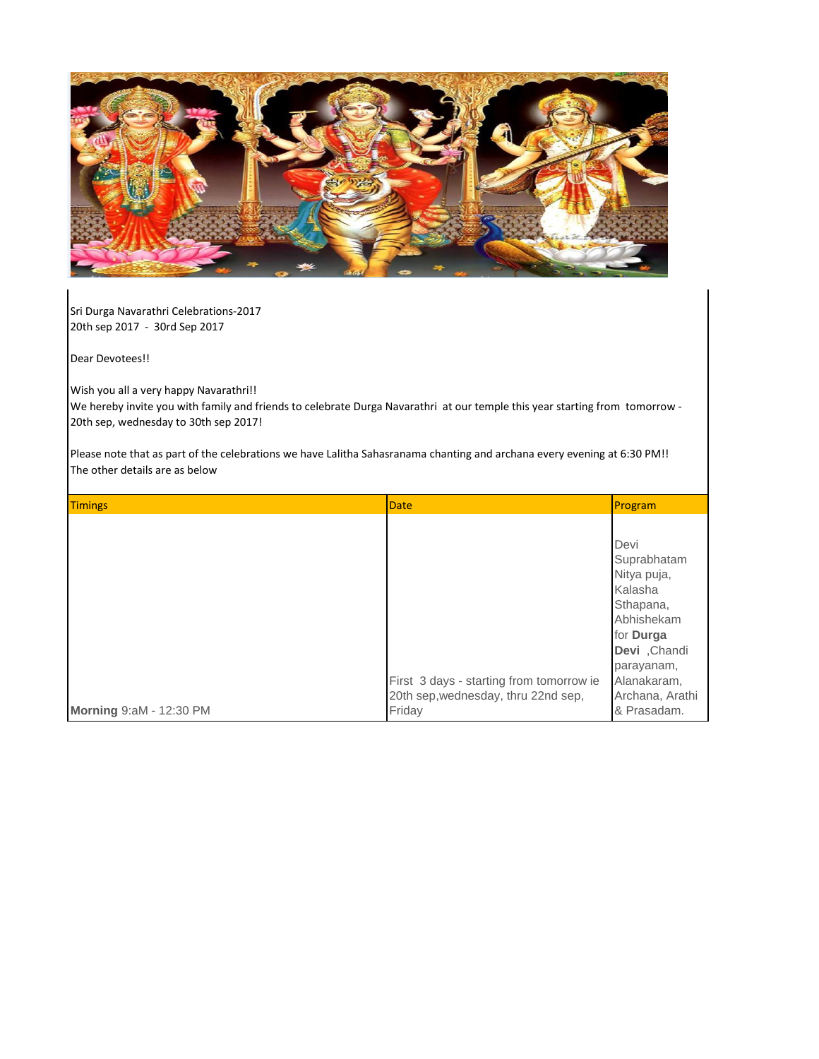

Sri Durga Navarathri Celebrations-2017 20th sep 2017 - 30rd Sep 2017

Dear Devotees!!

Wish you all a very happy Navarathri!!

We hereby invite you with family and friends to celebrate Durga Navarathri at our temple this year starting from tomorrow - 20th sep, wednesday to 30th sep 2017!

Please note that as part of the celebrations we have Lalitha Sahasranama chanting and archana every evening at 6:30 PM!! The other details are as below

| <b>Timings</b>          | Date                                                                                      | Program                                                                                                                                                              |
|-------------------------|-------------------------------------------------------------------------------------------|----------------------------------------------------------------------------------------------------------------------------------------------------------------------|
|                         | First 3 days - starting from tomorrow ie<br>20th sep, wednesday, thru 22nd sep,<br>Friday | Devi<br>Suprabhatam<br>Nitya puja,<br>Kalasha<br>Sthapana,<br>Abhishekam<br>for Durga<br>Devi, Chandi<br>parayanam,<br>Alanakaram,<br>Archana, Arathi<br>& Prasadam. |
| Morning 9:aM - 12:30 PM |                                                                                           |                                                                                                                                                                      |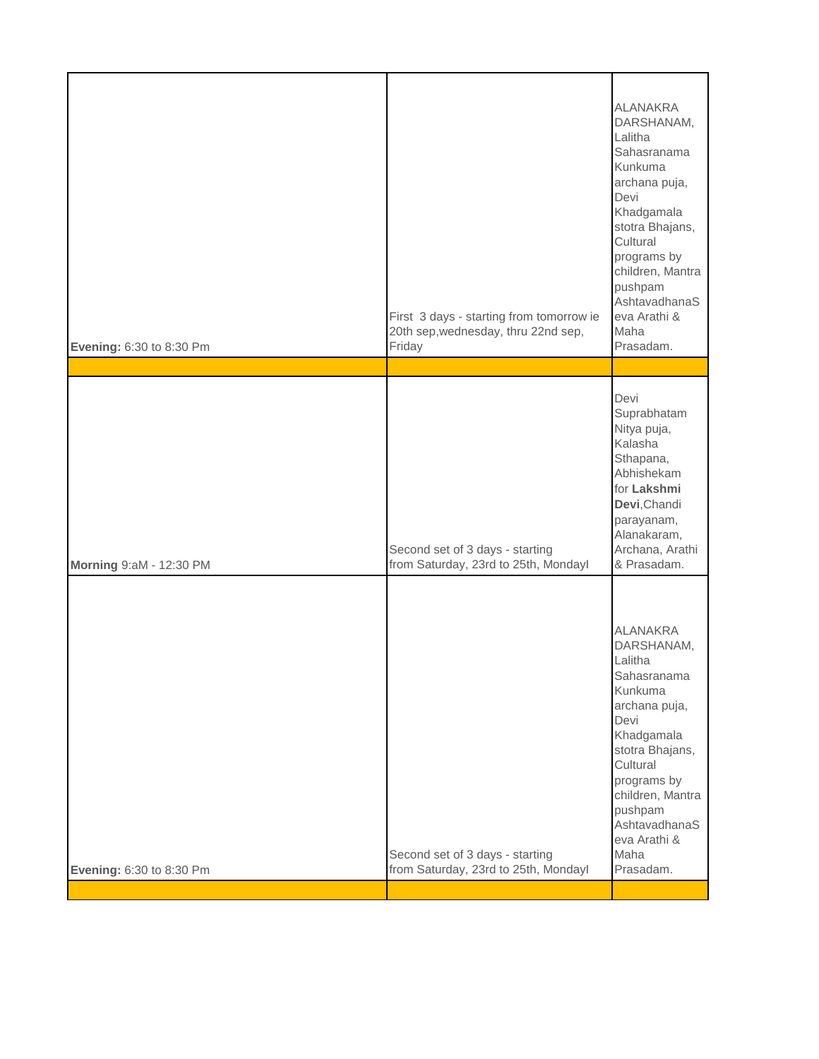| Devi<br>Suprabhatam<br>Nitya puja,<br>Kalasha<br>Sthapana,<br>Abhishekam<br>for Lakshmi<br>Devi, Chandi<br>parayanam,<br>Alanakaram,<br>Archana, Arathi<br>Second set of 3 days - starting<br>& Prasadam.<br>from Saturday, 23rd to 25th, Mondayl<br><b>ALANAKRA</b><br>DARSHANAM,<br>Lalitha<br>Sahasranama<br>Kunkuma<br>archana puja,<br>Devi<br>Khadgamala<br>stotra Bhajans,<br>Cultural<br>programs by<br>children, Mantra<br>pushpam<br>AshtavadhanaS<br>eva Arathi &<br>Maha<br>Second set of 3 days - starting<br>Prasadam. | Lalitha<br>Devi<br>Cultural<br>First 3 days - starting from tomorrow ie<br>20th sep, wednesday, thru 22nd sep,<br>Maha<br>Friday<br>Evening: 6:30 to 8:30 Pm | <b>ALANAKRA</b><br>DARSHANAM,<br>Sahasranama<br>Kunkuma<br>archana puja,<br>Khadgamala<br>stotra Bhajans,<br>programs by<br>children, Mantra<br>pushpam<br>AshtavadhanaS<br>eva Arathi &<br>Prasadam. |
|--------------------------------------------------------------------------------------------------------------------------------------------------------------------------------------------------------------------------------------------------------------------------------------------------------------------------------------------------------------------------------------------------------------------------------------------------------------------------------------------------------------------------------------|--------------------------------------------------------------------------------------------------------------------------------------------------------------|-------------------------------------------------------------------------------------------------------------------------------------------------------------------------------------------------------|
| Morning 9:aM - 12:30 PM                                                                                                                                                                                                                                                                                                                                                                                                                                                                                                              |                                                                                                                                                              |                                                                                                                                                                                                       |
|                                                                                                                                                                                                                                                                                                                                                                                                                                                                                                                                      |                                                                                                                                                              |                                                                                                                                                                                                       |
|                                                                                                                                                                                                                                                                                                                                                                                                                                                                                                                                      | from Saturday, 23rd to 25th, Mondayl<br>Evening: 6:30 to 8:30 Pm                                                                                             |                                                                                                                                                                                                       |